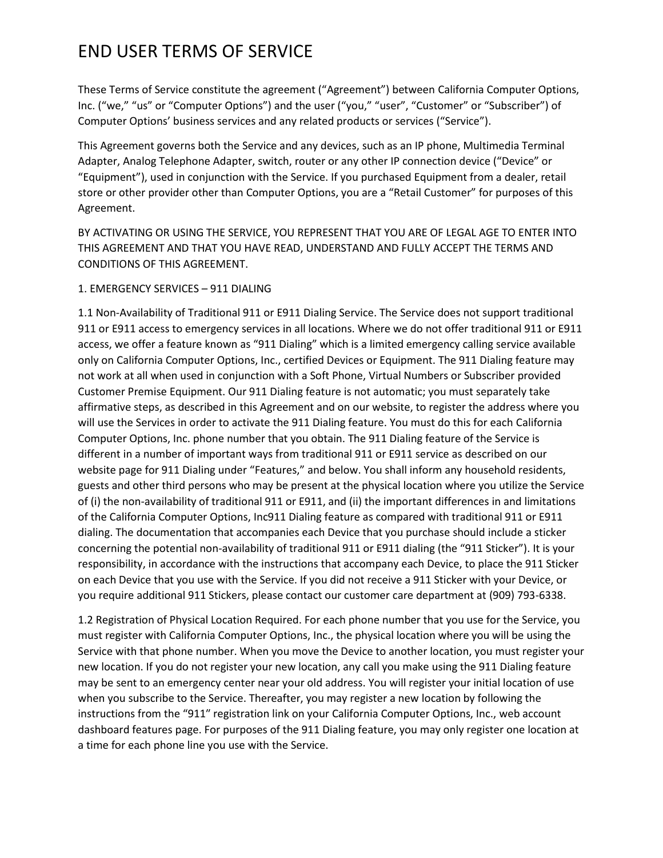These Terms of Service constitute the agreement ("Agreement") between California Computer Options, Inc. ("we," "us" or "Computer Options") and the user ("you," "user", "Customer" or "Subscriber") of Computer Options' business services and any related products or services ("Service").

This Agreement governs both the Service and any devices, such as an IP phone, Multimedia Terminal Adapter, Analog Telephone Adapter, switch, router or any other IP connection device ("Device" or "Equipment"), used in conjunction with the Service. If you purchased Equipment from a dealer, retail store or other provider other than Computer Options, you are a "Retail Customer" for purposes of this Agreement.

BY ACTIVATING OR USING THE SERVICE, YOU REPRESENT THAT YOU ARE OF LEGAL AGE TO ENTER INTO THIS AGREEMENT AND THAT YOU HAVE READ, UNDERSTAND AND FULLY ACCEPT THE TERMS AND CONDITIONS OF THIS AGREEMENT.

### 1. EMERGENCY SERVICES – 911 DIALING

1.1 Non-Availability of Traditional 911 or E911 Dialing Service. The Service does not support traditional 911 or E911 access to emergency services in all locations. Where we do not offer traditional 911 or E911 access, we offer a feature known as "911 Dialing" which is a limited emergency calling service available only on California Computer Options, Inc., certified Devices or Equipment. The 911 Dialing feature may not work at all when used in conjunction with a Soft Phone, Virtual Numbers or Subscriber provided Customer Premise Equipment. Our 911 Dialing feature is not automatic; you must separately take affirmative steps, as described in this Agreement and on our website, to register the address where you will use the Services in order to activate the 911 Dialing feature. You must do this for each California Computer Options, Inc. phone number that you obtain. The 911 Dialing feature of the Service is different in a number of important ways from traditional 911 or E911 service as described on our website page for 911 Dialing under "Features," and below. You shall inform any household residents, guests and other third persons who may be present at the physical location where you utilize the Service of (i) the non-availability of traditional 911 or E911, and (ii) the important differences in and limitations of the California Computer Options, Inc911 Dialing feature as compared with traditional 911 or E911 dialing. The documentation that accompanies each Device that you purchase should include a sticker concerning the potential non-availability of traditional 911 or E911 dialing (the "911 Sticker"). It is your responsibility, in accordance with the instructions that accompany each Device, to place the 911 Sticker on each Device that you use with the Service. If you did not receive a 911 Sticker with your Device, or you require additional 911 Stickers, please contact our customer care department at (909) 793-6338.

1.2 Registration of Physical Location Required. For each phone number that you use for the Service, you must register with California Computer Options, Inc., the physical location where you will be using the Service with that phone number. When you move the Device to another location, you must register your new location. If you do not register your new location, any call you make using the 911 Dialing feature may be sent to an emergency center near your old address. You will register your initial location of use when you subscribe to the Service. Thereafter, you may register a new location by following the instructions from the "911″ registration link on your California Computer Options, Inc., web account dashboard features page. For purposes of the 911 Dialing feature, you may only register one location at a time for each phone line you use with the Service.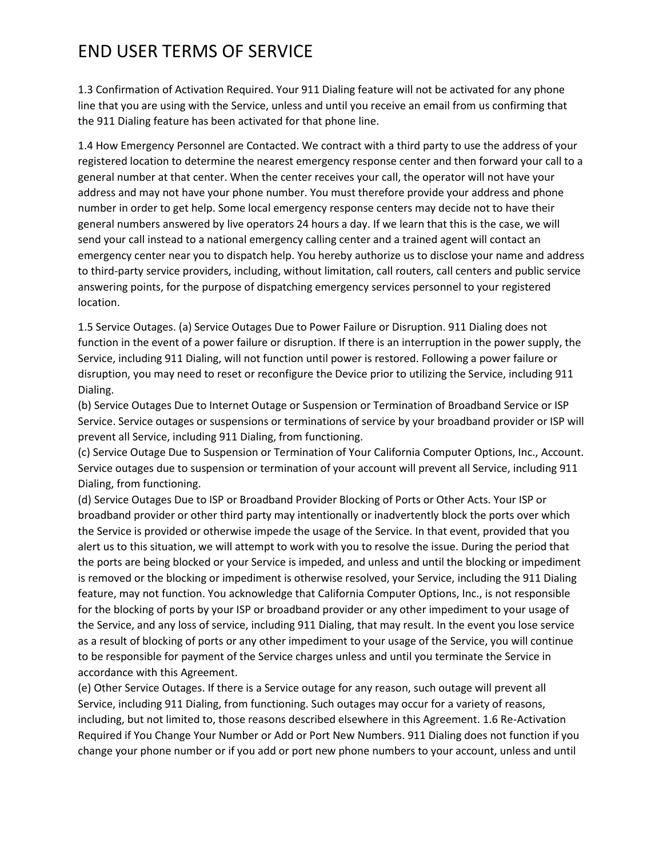1.3 Confirmation of Activation Required. Your 911 Dialing feature will not be activated for any phone line that you are using with the Service, unless and until you receive an email from us confirming that the 911 Dialing feature has been activated for that phone line.

1.4 How Emergency Personnel are Contacted. We contract with a third party to use the address of your registered location to determine the nearest emergency response center and then forward your call to a general number at that center. When the center receives your call, the operator will not have your address and may not have your phone number. You must therefore provide your address and phone number in order to get help. Some local emergency response centers may decide not to have their general numbers answered by live operators 24 hours a day. If we learn that this is the case, we will send your call instead to a national emergency calling center and a trained agent will contact an emergency center near you to dispatch help. You hereby authorize us to disclose your name and address to third-party service providers, including, without limitation, call routers, call centers and public service answering points, for the purpose of dispatching emergency services personnel to your registered location.

1.5 Service Outages. (a) Service Outages Due to Power Failure or Disruption. 911 Dialing does not function in the event of a power failure or disruption. If there is an interruption in the power supply, the Service, including 911 Dialing, will not function until power is restored. Following a power failure or disruption, you may need to reset or reconfigure the Device prior to utilizing the Service, including 911 Dialing.

(b) Service Outages Due to Internet Outage or Suspension or Termination of Broadband Service or ISP Service. Service outages or suspensions or terminations of service by your broadband provider or ISP will prevent all Service, including 911 Dialing, from functioning.

(c) Service Outage Due to Suspension or Termination of Your California Computer Options, Inc., Account. Service outages due to suspension or termination of your account will prevent all Service, including 911 Dialing, from functioning.

(d) Service Outages Due to ISP or Broadband Provider Blocking of Ports or Other Acts. Your ISP or broadband provider or other third party may intentionally or inadvertently block the ports over which the Service is provided or otherwise impede the usage of the Service. In that event, provided that you alert us to this situation, we will attempt to work with you to resolve the issue. During the period that the ports are being blocked or your Service is impeded, and unless and until the blocking or impediment is removed or the blocking or impediment is otherwise resolved, your Service, including the 911 Dialing feature, may not function. You acknowledge that California Computer Options, Inc., is not responsible for the blocking of ports by your ISP or broadband provider or any other impediment to your usage of the Service, and any loss of service, including 911 Dialing, that may result. In the event you lose service as a result of blocking of ports or any other impediment to your usage of the Service, you will continue to be responsible for payment of the Service charges unless and until you terminate the Service in accordance with this Agreement.

(e) Other Service Outages. If there is a Service outage for any reason, such outage will prevent all Service, including 911 Dialing, from functioning. Such outages may occur for a variety of reasons, including, but not limited to, those reasons described elsewhere in this Agreement. 1.6 Re-Activation Required if You Change Your Number or Add or Port New Numbers. 911 Dialing does not function if you change your phone number or if you add or port new phone numbers to your account, unless and until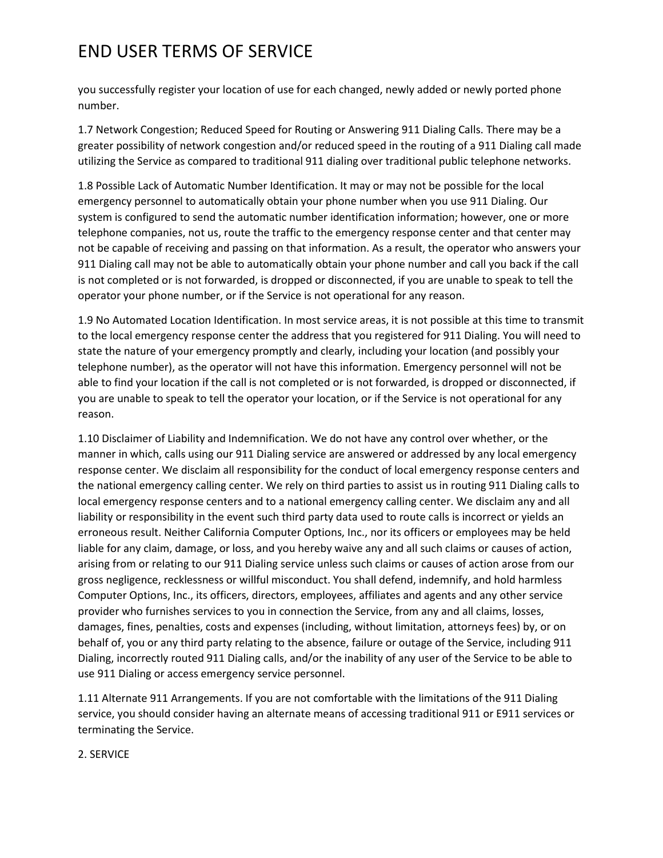you successfully register your location of use for each changed, newly added or newly ported phone number.

1.7 Network Congestion; Reduced Speed for Routing or Answering 911 Dialing Calls. There may be a greater possibility of network congestion and/or reduced speed in the routing of a 911 Dialing call made utilizing the Service as compared to traditional 911 dialing over traditional public telephone networks.

1.8 Possible Lack of Automatic Number Identification. It may or may not be possible for the local emergency personnel to automatically obtain your phone number when you use 911 Dialing. Our system is configured to send the automatic number identification information; however, one or more telephone companies, not us, route the traffic to the emergency response center and that center may not be capable of receiving and passing on that information. As a result, the operator who answers your 911 Dialing call may not be able to automatically obtain your phone number and call you back if the call is not completed or is not forwarded, is dropped or disconnected, if you are unable to speak to tell the operator your phone number, or if the Service is not operational for any reason.

1.9 No Automated Location Identification. In most service areas, it is not possible at this time to transmit to the local emergency response center the address that you registered for 911 Dialing. You will need to state the nature of your emergency promptly and clearly, including your location (and possibly your telephone number), as the operator will not have this information. Emergency personnel will not be able to find your location if the call is not completed or is not forwarded, is dropped or disconnected, if you are unable to speak to tell the operator your location, or if the Service is not operational for any reason.

1.10 Disclaimer of Liability and Indemnification. We do not have any control over whether, or the manner in which, calls using our 911 Dialing service are answered or addressed by any local emergency response center. We disclaim all responsibility for the conduct of local emergency response centers and the national emergency calling center. We rely on third parties to assist us in routing 911 Dialing calls to local emergency response centers and to a national emergency calling center. We disclaim any and all liability or responsibility in the event such third party data used to route calls is incorrect or yields an erroneous result. Neither California Computer Options, Inc., nor its officers or employees may be held liable for any claim, damage, or loss, and you hereby waive any and all such claims or causes of action, arising from or relating to our 911 Dialing service unless such claims or causes of action arose from our gross negligence, recklessness or willful misconduct. You shall defend, indemnify, and hold harmless Computer Options, Inc., its officers, directors, employees, affiliates and agents and any other service provider who furnishes services to you in connection the Service, from any and all claims, losses, damages, fines, penalties, costs and expenses (including, without limitation, attorneys fees) by, or on behalf of, you or any third party relating to the absence, failure or outage of the Service, including 911 Dialing, incorrectly routed 911 Dialing calls, and/or the inability of any user of the Service to be able to use 911 Dialing or access emergency service personnel.

1.11 Alternate 911 Arrangements. If you are not comfortable with the limitations of the 911 Dialing service, you should consider having an alternate means of accessing traditional 911 or E911 services or terminating the Service.

2. SERVICE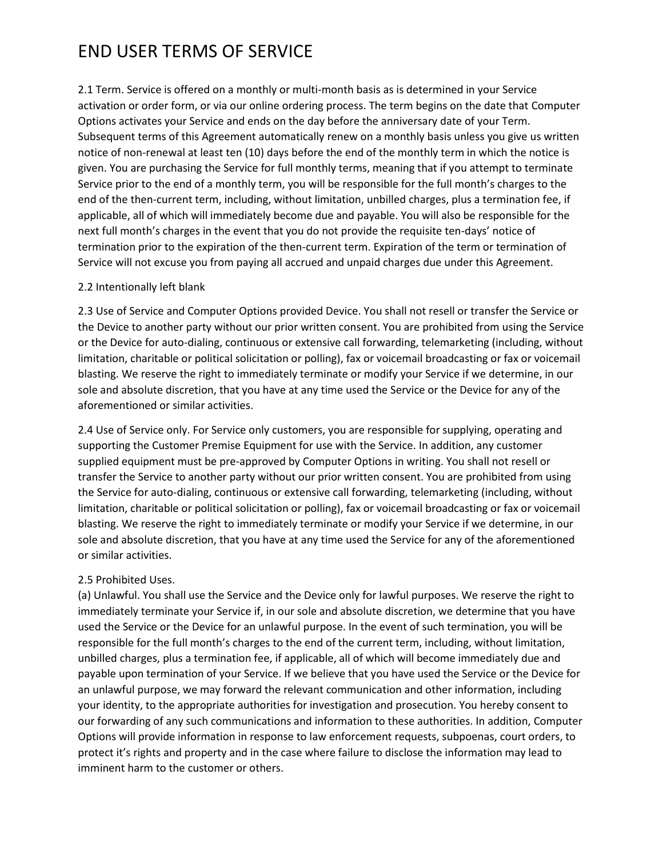2.1 Term. Service is offered on a monthly or multi-month basis as is determined in your Service activation or order form, or via our online ordering process. The term begins on the date that Computer Options activates your Service and ends on the day before the anniversary date of your Term. Subsequent terms of this Agreement automatically renew on a monthly basis unless you give us written notice of non-renewal at least ten (10) days before the end of the monthly term in which the notice is given. You are purchasing the Service for full monthly terms, meaning that if you attempt to terminate Service prior to the end of a monthly term, you will be responsible for the full month's charges to the end of the then-current term, including, without limitation, unbilled charges, plus a termination fee, if applicable, all of which will immediately become due and payable. You will also be responsible for the next full month's charges in the event that you do not provide the requisite ten-days' notice of termination prior to the expiration of the then-current term. Expiration of the term or termination of Service will not excuse you from paying all accrued and unpaid charges due under this Agreement.

#### 2.2 Intentionally left blank

2.3 Use of Service and Computer Options provided Device. You shall not resell or transfer the Service or the Device to another party without our prior written consent. You are prohibited from using the Service or the Device for auto-dialing, continuous or extensive call forwarding, telemarketing (including, without limitation, charitable or political solicitation or polling), fax or voicemail broadcasting or fax or voicemail blasting. We reserve the right to immediately terminate or modify your Service if we determine, in our sole and absolute discretion, that you have at any time used the Service or the Device for any of the aforementioned or similar activities.

2.4 Use of Service only. For Service only customers, you are responsible for supplying, operating and supporting the Customer Premise Equipment for use with the Service. In addition, any customer supplied equipment must be pre-approved by Computer Options in writing. You shall not resell or transfer the Service to another party without our prior written consent. You are prohibited from using the Service for auto-dialing, continuous or extensive call forwarding, telemarketing (including, without limitation, charitable or political solicitation or polling), fax or voicemail broadcasting or fax or voicemail blasting. We reserve the right to immediately terminate or modify your Service if we determine, in our sole and absolute discretion, that you have at any time used the Service for any of the aforementioned or similar activities.

#### 2.5 Prohibited Uses.

(a) Unlawful. You shall use the Service and the Device only for lawful purposes. We reserve the right to immediately terminate your Service if, in our sole and absolute discretion, we determine that you have used the Service or the Device for an unlawful purpose. In the event of such termination, you will be responsible for the full month's charges to the end of the current term, including, without limitation, unbilled charges, plus a termination fee, if applicable, all of which will become immediately due and payable upon termination of your Service. If we believe that you have used the Service or the Device for an unlawful purpose, we may forward the relevant communication and other information, including your identity, to the appropriate authorities for investigation and prosecution. You hereby consent to our forwarding of any such communications and information to these authorities. In addition, Computer Options will provide information in response to law enforcement requests, subpoenas, court orders, to protect it's rights and property and in the case where failure to disclose the information may lead to imminent harm to the customer or others.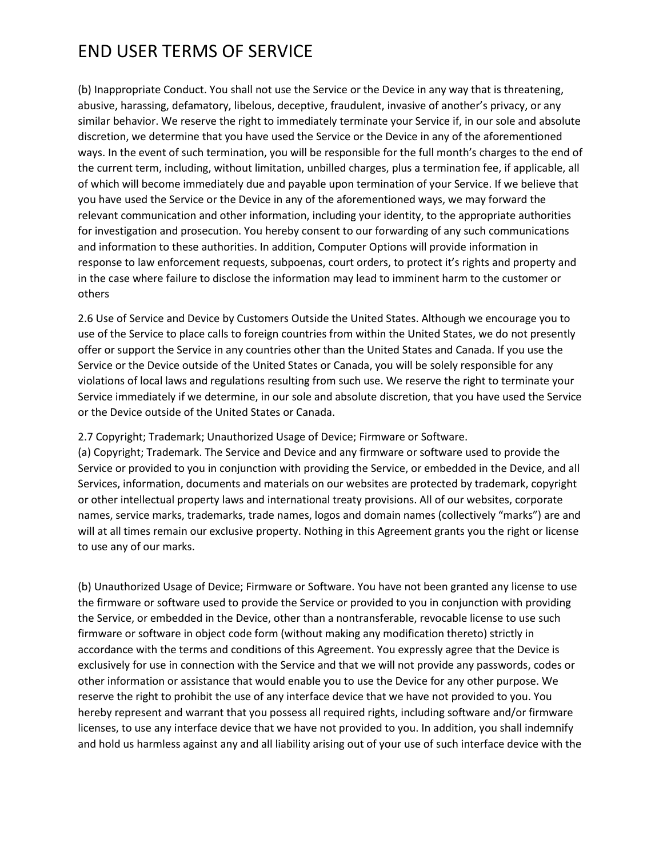(b) Inappropriate Conduct. You shall not use the Service or the Device in any way that is threatening, abusive, harassing, defamatory, libelous, deceptive, fraudulent, invasive of another's privacy, or any similar behavior. We reserve the right to immediately terminate your Service if, in our sole and absolute discretion, we determine that you have used the Service or the Device in any of the aforementioned ways. In the event of such termination, you will be responsible for the full month's charges to the end of the current term, including, without limitation, unbilled charges, plus a termination fee, if applicable, all of which will become immediately due and payable upon termination of your Service. If we believe that you have used the Service or the Device in any of the aforementioned ways, we may forward the relevant communication and other information, including your identity, to the appropriate authorities for investigation and prosecution. You hereby consent to our forwarding of any such communications and information to these authorities. In addition, Computer Options will provide information in response to law enforcement requests, subpoenas, court orders, to protect it's rights and property and in the case where failure to disclose the information may lead to imminent harm to the customer or others

2.6 Use of Service and Device by Customers Outside the United States. Although we encourage you to use of the Service to place calls to foreign countries from within the United States, we do not presently offer or support the Service in any countries other than the United States and Canada. If you use the Service or the Device outside of the United States or Canada, you will be solely responsible for any violations of local laws and regulations resulting from such use. We reserve the right to terminate your Service immediately if we determine, in our sole and absolute discretion, that you have used the Service or the Device outside of the United States or Canada.

#### 2.7 Copyright; Trademark; Unauthorized Usage of Device; Firmware or Software.

(a) Copyright; Trademark. The Service and Device and any firmware or software used to provide the Service or provided to you in conjunction with providing the Service, or embedded in the Device, and all Services, information, documents and materials on our websites are protected by trademark, copyright or other intellectual property laws and international treaty provisions. All of our websites, corporate names, service marks, trademarks, trade names, logos and domain names (collectively "marks") are and will at all times remain our exclusive property. Nothing in this Agreement grants you the right or license to use any of our marks.

(b) Unauthorized Usage of Device; Firmware or Software. You have not been granted any license to use the firmware or software used to provide the Service or provided to you in conjunction with providing the Service, or embedded in the Device, other than a nontransferable, revocable license to use such firmware or software in object code form (without making any modification thereto) strictly in accordance with the terms and conditions of this Agreement. You expressly agree that the Device is exclusively for use in connection with the Service and that we will not provide any passwords, codes or other information or assistance that would enable you to use the Device for any other purpose. We reserve the right to prohibit the use of any interface device that we have not provided to you. You hereby represent and warrant that you possess all required rights, including software and/or firmware licenses, to use any interface device that we have not provided to you. In addition, you shall indemnify and hold us harmless against any and all liability arising out of your use of such interface device with the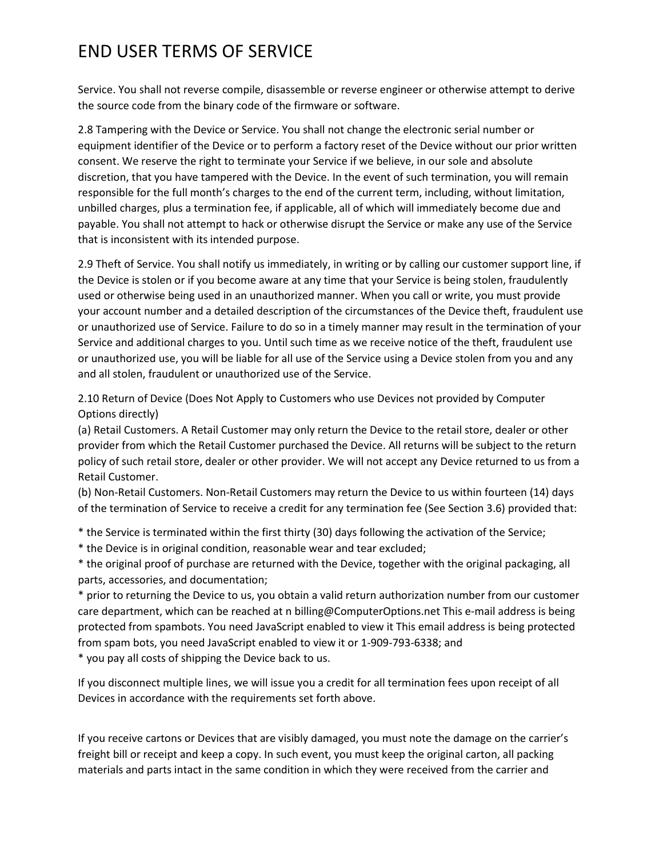Service. You shall not reverse compile, disassemble or reverse engineer or otherwise attempt to derive the source code from the binary code of the firmware or software.

2.8 Tampering with the Device or Service. You shall not change the electronic serial number or equipment identifier of the Device or to perform a factory reset of the Device without our prior written consent. We reserve the right to terminate your Service if we believe, in our sole and absolute discretion, that you have tampered with the Device. In the event of such termination, you will remain responsible for the full month's charges to the end of the current term, including, without limitation, unbilled charges, plus a termination fee, if applicable, all of which will immediately become due and payable. You shall not attempt to hack or otherwise disrupt the Service or make any use of the Service that is inconsistent with its intended purpose.

2.9 Theft of Service. You shall notify us immediately, in writing or by calling our customer support line, if the Device is stolen or if you become aware at any time that your Service is being stolen, fraudulently used or otherwise being used in an unauthorized manner. When you call or write, you must provide your account number and a detailed description of the circumstances of the Device theft, fraudulent use or unauthorized use of Service. Failure to do so in a timely manner may result in the termination of your Service and additional charges to you. Until such time as we receive notice of the theft, fraudulent use or unauthorized use, you will be liable for all use of the Service using a Device stolen from you and any and all stolen, fraudulent or unauthorized use of the Service.

2.10 Return of Device (Does Not Apply to Customers who use Devices not provided by Computer Options directly)

(a) Retail Customers. A Retail Customer may only return the Device to the retail store, dealer or other provider from which the Retail Customer purchased the Device. All returns will be subject to the return policy of such retail store, dealer or other provider. We will not accept any Device returned to us from a Retail Customer.

(b) Non-Retail Customers. Non-Retail Customers may return the Device to us within fourteen (14) days of the termination of Service to receive a credit for any termination fee (See Section 3.6) provided that:

\* the Service is terminated within the first thirty (30) days following the activation of the Service;

\* the Device is in original condition, reasonable wear and tear excluded;

\* the original proof of purchase are returned with the Device, together with the original packaging, all parts, accessories, and documentation;

\* prior to returning the Device to us, you obtain a valid return authorization number from our customer care department, which can be reached at n billing@ComputerOptions.net This e-mail address is being protected from spambots. You need JavaScript enabled to view it This email address is being protected from spam bots, you need JavaScript enabled to view it or 1-909-793-6338; and \* you pay all costs of shipping the Device back to us.

If you disconnect multiple lines, we will issue you a credit for all termination fees upon receipt of all Devices in accordance with the requirements set forth above.

If you receive cartons or Devices that are visibly damaged, you must note the damage on the carrier's freight bill or receipt and keep a copy. In such event, you must keep the original carton, all packing materials and parts intact in the same condition in which they were received from the carrier and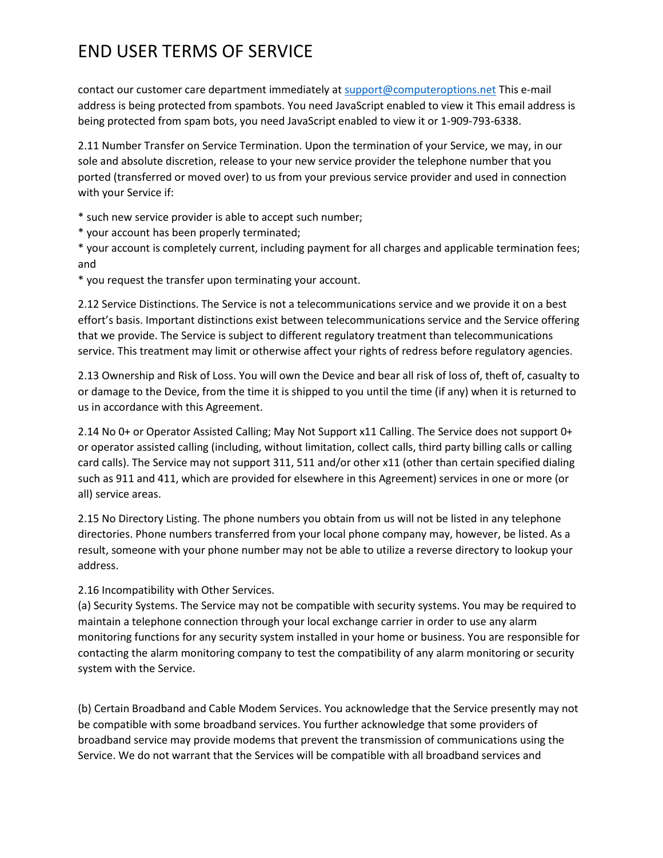contact our customer care department immediately at [support@computeroptions.net](mailto:support@computeroptions.net) This e-mail address is being protected from spambots. You need JavaScript enabled to view it This email address is being protected from spam bots, you need JavaScript enabled to view it or 1-909-793-6338.

2.11 Number Transfer on Service Termination. Upon the termination of your Service, we may, in our sole and absolute discretion, release to your new service provider the telephone number that you ported (transferred or moved over) to us from your previous service provider and used in connection with your Service if:

\* such new service provider is able to accept such number;

\* your account has been properly terminated;

\* your account is completely current, including payment for all charges and applicable termination fees; and

\* you request the transfer upon terminating your account.

2.12 Service Distinctions. The Service is not a telecommunications service and we provide it on a best effort's basis. Important distinctions exist between telecommunications service and the Service offering that we provide. The Service is subject to different regulatory treatment than telecommunications service. This treatment may limit or otherwise affect your rights of redress before regulatory agencies.

2.13 Ownership and Risk of Loss. You will own the Device and bear all risk of loss of, theft of, casualty to or damage to the Device, from the time it is shipped to you until the time (if any) when it is returned to us in accordance with this Agreement.

2.14 No 0+ or Operator Assisted Calling; May Not Support x11 Calling. The Service does not support 0+ or operator assisted calling (including, without limitation, collect calls, third party billing calls or calling card calls). The Service may not support 311, 511 and/or other x11 (other than certain specified dialing such as 911 and 411, which are provided for elsewhere in this Agreement) services in one or more (or all) service areas.

2.15 No Directory Listing. The phone numbers you obtain from us will not be listed in any telephone directories. Phone numbers transferred from your local phone company may, however, be listed. As a result, someone with your phone number may not be able to utilize a reverse directory to lookup your address.

2.16 Incompatibility with Other Services.

(a) Security Systems. The Service may not be compatible with security systems. You may be required to maintain a telephone connection through your local exchange carrier in order to use any alarm monitoring functions for any security system installed in your home or business. You are responsible for contacting the alarm monitoring company to test the compatibility of any alarm monitoring or security system with the Service.

(b) Certain Broadband and Cable Modem Services. You acknowledge that the Service presently may not be compatible with some broadband services. You further acknowledge that some providers of broadband service may provide modems that prevent the transmission of communications using the Service. We do not warrant that the Services will be compatible with all broadband services and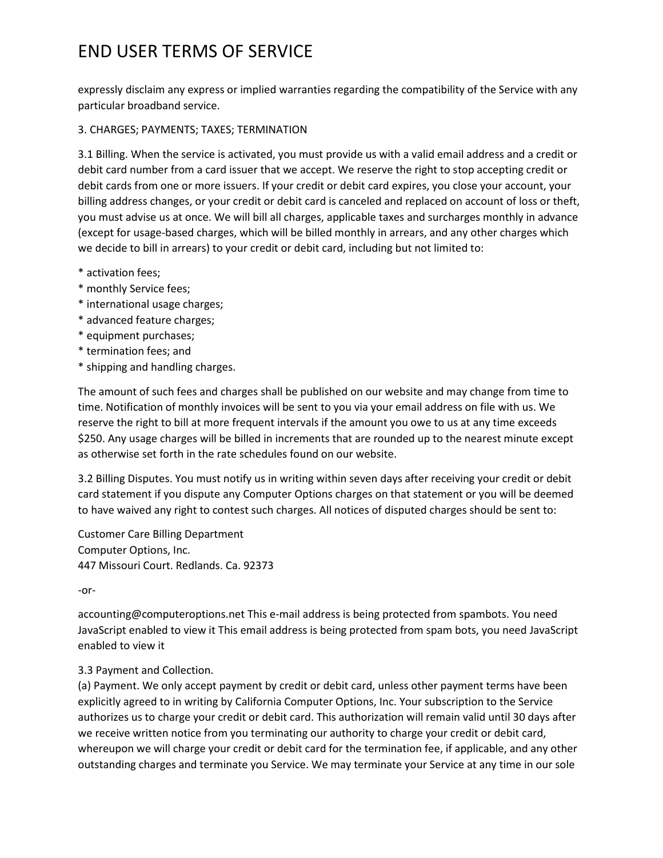expressly disclaim any express or implied warranties regarding the compatibility of the Service with any particular broadband service.

#### 3. CHARGES; PAYMENTS; TAXES; TERMINATION

3.1 Billing. When the service is activated, you must provide us with a valid email address and a credit or debit card number from a card issuer that we accept. We reserve the right to stop accepting credit or debit cards from one or more issuers. If your credit or debit card expires, you close your account, your billing address changes, or your credit or debit card is canceled and replaced on account of loss or theft, you must advise us at once. We will bill all charges, applicable taxes and surcharges monthly in advance (except for usage-based charges, which will be billed monthly in arrears, and any other charges which we decide to bill in arrears) to your credit or debit card, including but not limited to:

- \* activation fees;
- \* monthly Service fees;
- \* international usage charges;
- \* advanced feature charges;
- \* equipment purchases;
- \* termination fees; and
- \* shipping and handling charges.

The amount of such fees and charges shall be published on our website and may change from time to time. Notification of monthly invoices will be sent to you via your email address on file with us. We reserve the right to bill at more frequent intervals if the amount you owe to us at any time exceeds \$250. Any usage charges will be billed in increments that are rounded up to the nearest minute except as otherwise set forth in the rate schedules found on our website.

3.2 Billing Disputes. You must notify us in writing within seven days after receiving your credit or debit card statement if you dispute any Computer Options charges on that statement or you will be deemed to have waived any right to contest such charges. All notices of disputed charges should be sent to:

Customer Care Billing Department Computer Options, Inc. 447 Missouri Court. Redlands. Ca. 92373

-or-

accounting@computeroptions.net This e-mail address is being protected from spambots. You need JavaScript enabled to view it This email address is being protected from spam bots, you need JavaScript enabled to view it

### 3.3 Payment and Collection.

(a) Payment. We only accept payment by credit or debit card, unless other payment terms have been explicitly agreed to in writing by California Computer Options, Inc. Your subscription to the Service authorizes us to charge your credit or debit card. This authorization will remain valid until 30 days after we receive written notice from you terminating our authority to charge your credit or debit card, whereupon we will charge your credit or debit card for the termination fee, if applicable, and any other outstanding charges and terminate you Service. We may terminate your Service at any time in our sole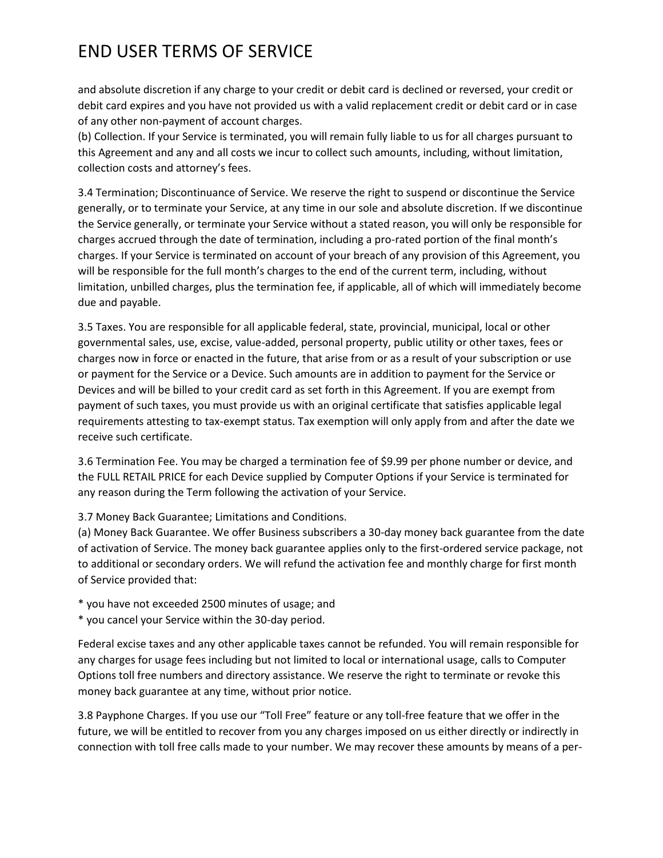and absolute discretion if any charge to your credit or debit card is declined or reversed, your credit or debit card expires and you have not provided us with a valid replacement credit or debit card or in case of any other non-payment of account charges.

(b) Collection. If your Service is terminated, you will remain fully liable to us for all charges pursuant to this Agreement and any and all costs we incur to collect such amounts, including, without limitation, collection costs and attorney's fees.

3.4 Termination; Discontinuance of Service. We reserve the right to suspend or discontinue the Service generally, or to terminate your Service, at any time in our sole and absolute discretion. If we discontinue the Service generally, or terminate your Service without a stated reason, you will only be responsible for charges accrued through the date of termination, including a pro-rated portion of the final month's charges. If your Service is terminated on account of your breach of any provision of this Agreement, you will be responsible for the full month's charges to the end of the current term, including, without limitation, unbilled charges, plus the termination fee, if applicable, all of which will immediately become due and payable.

3.5 Taxes. You are responsible for all applicable federal, state, provincial, municipal, local or other governmental sales, use, excise, value-added, personal property, public utility or other taxes, fees or charges now in force or enacted in the future, that arise from or as a result of your subscription or use or payment for the Service or a Device. Such amounts are in addition to payment for the Service or Devices and will be billed to your credit card as set forth in this Agreement. If you are exempt from payment of such taxes, you must provide us with an original certificate that satisfies applicable legal requirements attesting to tax-exempt status. Tax exemption will only apply from and after the date we receive such certificate.

3.6 Termination Fee. You may be charged a termination fee of \$9.99 per phone number or device, and the FULL RETAIL PRICE for each Device supplied by Computer Options if your Service is terminated for any reason during the Term following the activation of your Service.

3.7 Money Back Guarantee; Limitations and Conditions.

(a) Money Back Guarantee. We offer Business subscribers a 30-day money back guarantee from the date of activation of Service. The money back guarantee applies only to the first-ordered service package, not to additional or secondary orders. We will refund the activation fee and monthly charge for first month of Service provided that:

\* you have not exceeded 2500 minutes of usage; and

\* you cancel your Service within the 30-day period.

Federal excise taxes and any other applicable taxes cannot be refunded. You will remain responsible for any charges for usage fees including but not limited to local or international usage, calls to Computer Options toll free numbers and directory assistance. We reserve the right to terminate or revoke this money back guarantee at any time, without prior notice.

3.8 Payphone Charges. If you use our "Toll Free" feature or any toll-free feature that we offer in the future, we will be entitled to recover from you any charges imposed on us either directly or indirectly in connection with toll free calls made to your number. We may recover these amounts by means of a per-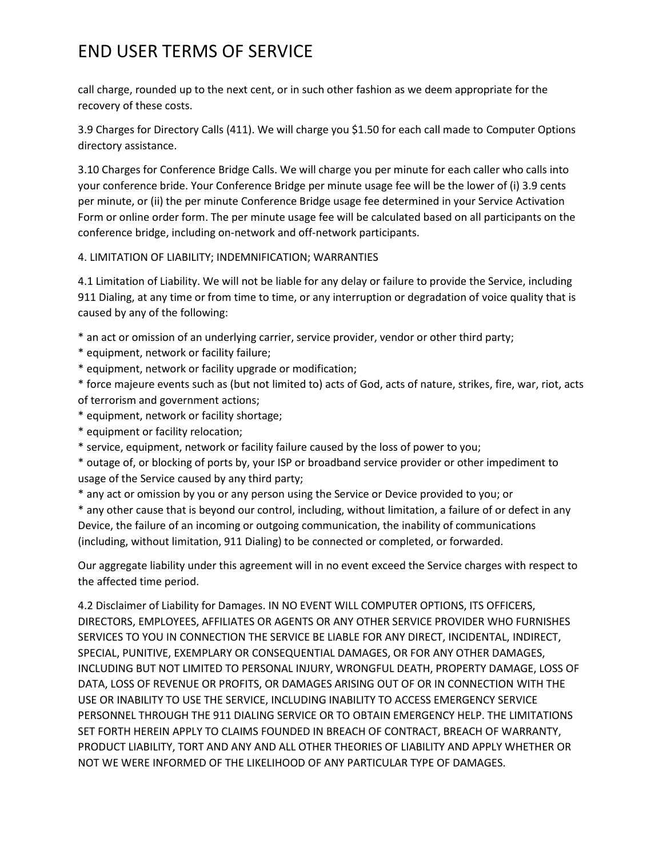call charge, rounded up to the next cent, or in such other fashion as we deem appropriate for the recovery of these costs.

3.9 Charges for Directory Calls (411). We will charge you \$1.50 for each call made to Computer Options directory assistance.

3.10 Charges for Conference Bridge Calls. We will charge you per minute for each caller who calls into your conference bride. Your Conference Bridge per minute usage fee will be the lower of (i) 3.9 cents per minute, or (ii) the per minute Conference Bridge usage fee determined in your Service Activation Form or online order form. The per minute usage fee will be calculated based on all participants on the conference bridge, including on-network and off-network participants.

#### 4. LIMITATION OF LIABILITY; INDEMNIFICATION; WARRANTIES

4.1 Limitation of Liability. We will not be liable for any delay or failure to provide the Service, including 911 Dialing, at any time or from time to time, or any interruption or degradation of voice quality that is caused by any of the following:

\* an act or omission of an underlying carrier, service provider, vendor or other third party;

- \* equipment, network or facility failure;
- \* equipment, network or facility upgrade or modification;
- \* force majeure events such as (but not limited to) acts of God, acts of nature, strikes, fire, war, riot, acts of terrorism and government actions;
- \* equipment, network or facility shortage;
- \* equipment or facility relocation;
- \* service, equipment, network or facility failure caused by the loss of power to you;

\* outage of, or blocking of ports by, your ISP or broadband service provider or other impediment to usage of the Service caused by any third party;

\* any act or omission by you or any person using the Service or Device provided to you; or

\* any other cause that is beyond our control, including, without limitation, a failure of or defect in any Device, the failure of an incoming or outgoing communication, the inability of communications (including, without limitation, 911 Dialing) to be connected or completed, or forwarded.

Our aggregate liability under this agreement will in no event exceed the Service charges with respect to the affected time period.

4.2 Disclaimer of Liability for Damages. IN NO EVENT WILL COMPUTER OPTIONS, ITS OFFICERS, DIRECTORS, EMPLOYEES, AFFILIATES OR AGENTS OR ANY OTHER SERVICE PROVIDER WHO FURNISHES SERVICES TO YOU IN CONNECTION THE SERVICE BE LIABLE FOR ANY DIRECT, INCIDENTAL, INDIRECT, SPECIAL, PUNITIVE, EXEMPLARY OR CONSEQUENTIAL DAMAGES, OR FOR ANY OTHER DAMAGES, INCLUDING BUT NOT LIMITED TO PERSONAL INJURY, WRONGFUL DEATH, PROPERTY DAMAGE, LOSS OF DATA, LOSS OF REVENUE OR PROFITS, OR DAMAGES ARISING OUT OF OR IN CONNECTION WITH THE USE OR INABILITY TO USE THE SERVICE, INCLUDING INABILITY TO ACCESS EMERGENCY SERVICE PERSONNEL THROUGH THE 911 DIALING SERVICE OR TO OBTAIN EMERGENCY HELP. THE LIMITATIONS SET FORTH HEREIN APPLY TO CLAIMS FOUNDED IN BREACH OF CONTRACT, BREACH OF WARRANTY, PRODUCT LIABILITY, TORT AND ANY AND ALL OTHER THEORIES OF LIABILITY AND APPLY WHETHER OR NOT WE WERE INFORMED OF THE LIKELIHOOD OF ANY PARTICULAR TYPE OF DAMAGES.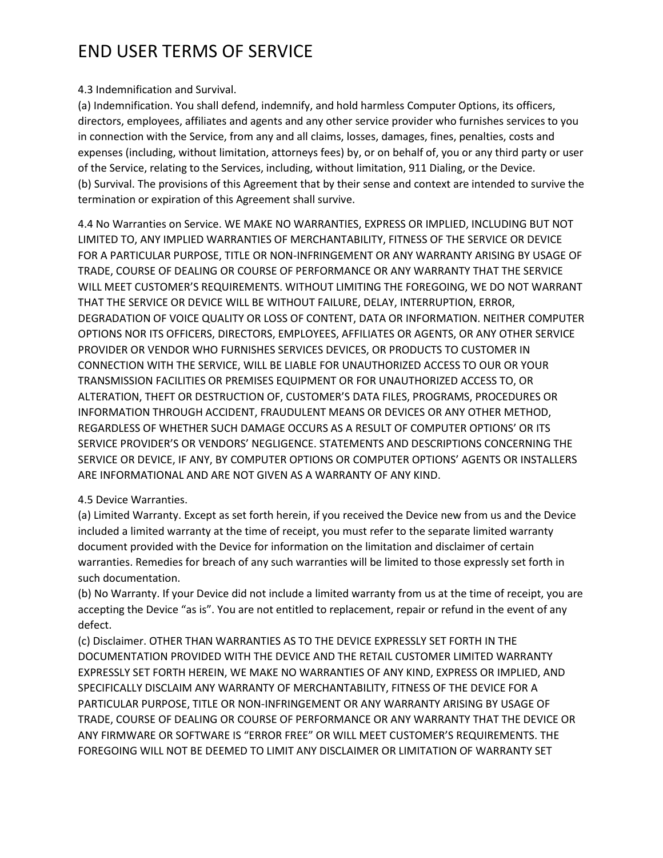#### 4.3 Indemnification and Survival.

(a) Indemnification. You shall defend, indemnify, and hold harmless Computer Options, its officers, directors, employees, affiliates and agents and any other service provider who furnishes services to you in connection with the Service, from any and all claims, losses, damages, fines, penalties, costs and expenses (including, without limitation, attorneys fees) by, or on behalf of, you or any third party or user of the Service, relating to the Services, including, without limitation, 911 Dialing, or the Device. (b) Survival. The provisions of this Agreement that by their sense and context are intended to survive the termination or expiration of this Agreement shall survive.

4.4 No Warranties on Service. WE MAKE NO WARRANTIES, EXPRESS OR IMPLIED, INCLUDING BUT NOT LIMITED TO, ANY IMPLIED WARRANTIES OF MERCHANTABILITY, FITNESS OF THE SERVICE OR DEVICE FOR A PARTICULAR PURPOSE, TITLE OR NON-INFRINGEMENT OR ANY WARRANTY ARISING BY USAGE OF TRADE, COURSE OF DEALING OR COURSE OF PERFORMANCE OR ANY WARRANTY THAT THE SERVICE WILL MEET CUSTOMER'S REQUIREMENTS. WITHOUT LIMITING THE FOREGOING, WE DO NOT WARRANT THAT THE SERVICE OR DEVICE WILL BE WITHOUT FAILURE, DELAY, INTERRUPTION, ERROR, DEGRADATION OF VOICE QUALITY OR LOSS OF CONTENT, DATA OR INFORMATION. NEITHER COMPUTER OPTIONS NOR ITS OFFICERS, DIRECTORS, EMPLOYEES, AFFILIATES OR AGENTS, OR ANY OTHER SERVICE PROVIDER OR VENDOR WHO FURNISHES SERVICES DEVICES, OR PRODUCTS TO CUSTOMER IN CONNECTION WITH THE SERVICE, WILL BE LIABLE FOR UNAUTHORIZED ACCESS TO OUR OR YOUR TRANSMISSION FACILITIES OR PREMISES EQUIPMENT OR FOR UNAUTHORIZED ACCESS TO, OR ALTERATION, THEFT OR DESTRUCTION OF, CUSTOMER'S DATA FILES, PROGRAMS, PROCEDURES OR INFORMATION THROUGH ACCIDENT, FRAUDULENT MEANS OR DEVICES OR ANY OTHER METHOD, REGARDLESS OF WHETHER SUCH DAMAGE OCCURS AS A RESULT OF COMPUTER OPTIONS' OR ITS SERVICE PROVIDER'S OR VENDORS' NEGLIGENCE. STATEMENTS AND DESCRIPTIONS CONCERNING THE SERVICE OR DEVICE, IF ANY, BY COMPUTER OPTIONS OR COMPUTER OPTIONS' AGENTS OR INSTALLERS ARE INFORMATIONAL AND ARE NOT GIVEN AS A WARRANTY OF ANY KIND.

### 4.5 Device Warranties.

(a) Limited Warranty. Except as set forth herein, if you received the Device new from us and the Device included a limited warranty at the time of receipt, you must refer to the separate limited warranty document provided with the Device for information on the limitation and disclaimer of certain warranties. Remedies for breach of any such warranties will be limited to those expressly set forth in such documentation.

(b) No Warranty. If your Device did not include a limited warranty from us at the time of receipt, you are accepting the Device "as is". You are not entitled to replacement, repair or refund in the event of any defect.

(c) Disclaimer. OTHER THAN WARRANTIES AS TO THE DEVICE EXPRESSLY SET FORTH IN THE DOCUMENTATION PROVIDED WITH THE DEVICE AND THE RETAIL CUSTOMER LIMITED WARRANTY EXPRESSLY SET FORTH HEREIN, WE MAKE NO WARRANTIES OF ANY KIND, EXPRESS OR IMPLIED, AND SPECIFICALLY DISCLAIM ANY WARRANTY OF MERCHANTABILITY, FITNESS OF THE DEVICE FOR A PARTICULAR PURPOSE, TITLE OR NON-INFRINGEMENT OR ANY WARRANTY ARISING BY USAGE OF TRADE, COURSE OF DEALING OR COURSE OF PERFORMANCE OR ANY WARRANTY THAT THE DEVICE OR ANY FIRMWARE OR SOFTWARE IS "ERROR FREE" OR WILL MEET CUSTOMER'S REQUIREMENTS. THE FOREGOING WILL NOT BE DEEMED TO LIMIT ANY DISCLAIMER OR LIMITATION OF WARRANTY SET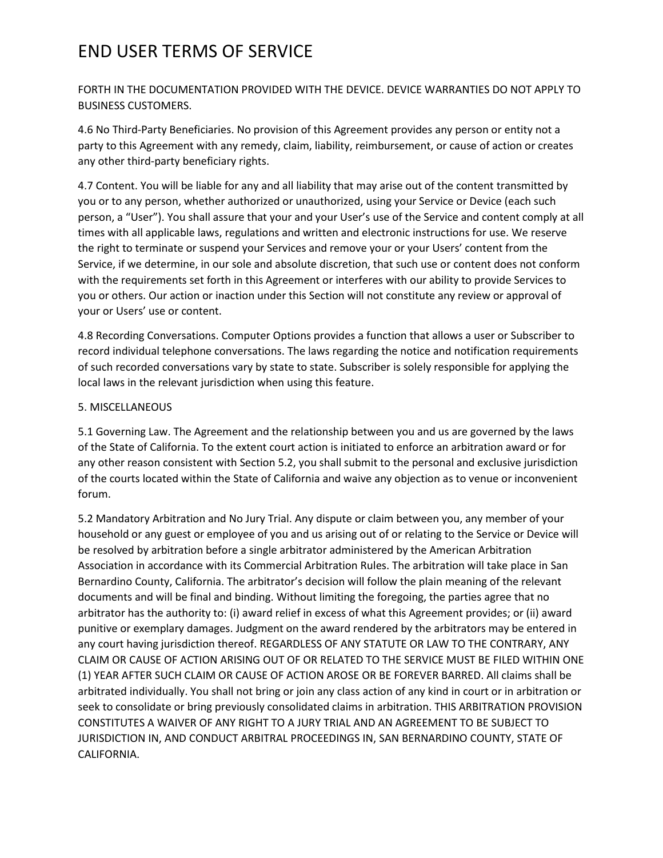FORTH IN THE DOCUMENTATION PROVIDED WITH THE DEVICE. DEVICE WARRANTIES DO NOT APPLY TO BUSINESS CUSTOMERS.

4.6 No Third-Party Beneficiaries. No provision of this Agreement provides any person or entity not a party to this Agreement with any remedy, claim, liability, reimbursement, or cause of action or creates any other third-party beneficiary rights.

4.7 Content. You will be liable for any and all liability that may arise out of the content transmitted by you or to any person, whether authorized or unauthorized, using your Service or Device (each such person, a "User"). You shall assure that your and your User's use of the Service and content comply at all times with all applicable laws, regulations and written and electronic instructions for use. We reserve the right to terminate or suspend your Services and remove your or your Users' content from the Service, if we determine, in our sole and absolute discretion, that such use or content does not conform with the requirements set forth in this Agreement or interferes with our ability to provide Services to you or others. Our action or inaction under this Section will not constitute any review or approval of your or Users' use or content.

4.8 Recording Conversations. Computer Options provides a function that allows a user or Subscriber to record individual telephone conversations. The laws regarding the notice and notification requirements of such recorded conversations vary by state to state. Subscriber is solely responsible for applying the local laws in the relevant jurisdiction when using this feature.

### 5. MISCELLANEOUS

5.1 Governing Law. The Agreement and the relationship between you and us are governed by the laws of the State of California. To the extent court action is initiated to enforce an arbitration award or for any other reason consistent with Section 5.2, you shall submit to the personal and exclusive jurisdiction of the courts located within the State of California and waive any objection as to venue or inconvenient forum.

5.2 Mandatory Arbitration and No Jury Trial. Any dispute or claim between you, any member of your household or any guest or employee of you and us arising out of or relating to the Service or Device will be resolved by arbitration before a single arbitrator administered by the American Arbitration Association in accordance with its Commercial Arbitration Rules. The arbitration will take place in San Bernardino County, California. The arbitrator's decision will follow the plain meaning of the relevant documents and will be final and binding. Without limiting the foregoing, the parties agree that no arbitrator has the authority to: (i) award relief in excess of what this Agreement provides; or (ii) award punitive or exemplary damages. Judgment on the award rendered by the arbitrators may be entered in any court having jurisdiction thereof. REGARDLESS OF ANY STATUTE OR LAW TO THE CONTRARY, ANY CLAIM OR CAUSE OF ACTION ARISING OUT OF OR RELATED TO THE SERVICE MUST BE FILED WITHIN ONE (1) YEAR AFTER SUCH CLAIM OR CAUSE OF ACTION AROSE OR BE FOREVER BARRED. All claims shall be arbitrated individually. You shall not bring or join any class action of any kind in court or in arbitration or seek to consolidate or bring previously consolidated claims in arbitration. THIS ARBITRATION PROVISION CONSTITUTES A WAIVER OF ANY RIGHT TO A JURY TRIAL AND AN AGREEMENT TO BE SUBJECT TO JURISDICTION IN, AND CONDUCT ARBITRAL PROCEEDINGS IN, SAN BERNARDINO COUNTY, STATE OF CALIFORNIA.